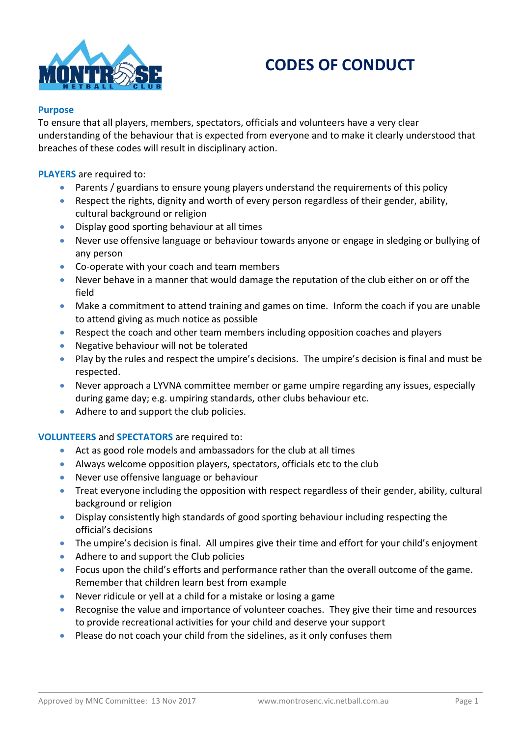

# **CODES OF CONDUCT**

#### **Purpose**

To ensure that all players, members, spectators, officials and volunteers have a very clear understanding of the behaviour that is expected from everyone and to make it clearly understood that breaches of these codes will result in disciplinary action.

**PLAYERS** are required to:

- Parents / guardians to ensure young players understand the requirements of this policy
- Respect the rights, dignity and worth of every person regardless of their gender, ability, cultural background or religion
- Display good sporting behaviour at all times
- Never use offensive language or behaviour towards anyone or engage in sledging or bullying of any person
- Co-operate with your coach and team members
- Never behave in a manner that would damage the reputation of the club either on or off the field
- Make a commitment to attend training and games on time. Inform the coach if you are unable to attend giving as much notice as possible
- Respect the coach and other team members including opposition coaches and players
- Negative behaviour will not be tolerated
- Play by the rules and respect the umpire's decisions. The umpire's decision is final and must be respected.
- Never approach a LYVNA committee member or game umpire regarding any issues, especially during game day; e.g. umpiring standards, other clubs behaviour etc.
- Adhere to and support the club policies.

## **VOLUNTEERS** and **SPECTATORS** are required to:

- Act as good role models and ambassadors for the club at all times
- Always welcome opposition players, spectators, officials etc to the club
- Never use offensive language or behaviour
- Treat everyone including the opposition with respect regardless of their gender, ability, cultural background or religion
- Display consistently high standards of good sporting behaviour including respecting the official's decisions
- The umpire's decision is final. All umpires give their time and effort for your child's enjoyment
- Adhere to and support the Club policies
- Focus upon the child's efforts and performance rather than the overall outcome of the game. Remember that children learn best from example
- Never ridicule or yell at a child for a mistake or losing a game
- Recognise the value and importance of volunteer coaches. They give their time and resources to provide recreational activities for your child and deserve your support
- Please do not coach your child from the sidelines, as it only confuses them